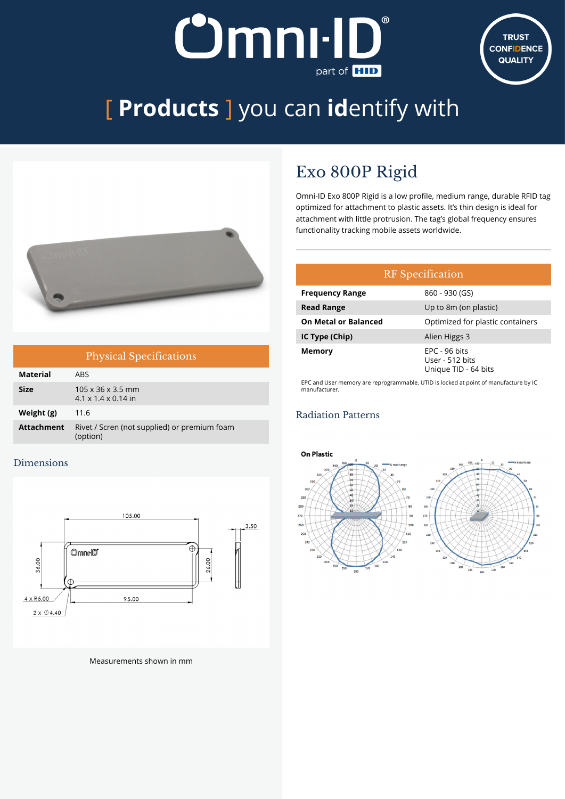# **Omni-ID** part of **HID**



# [ **Products** ] you can **id**entify with



| <b>Physical Specifications</b> |                                                                  |  |  |
|--------------------------------|------------------------------------------------------------------|--|--|
| Material                       | ARS.                                                             |  |  |
| <b>Size</b>                    | $105 \times 36 \times 3.5$ mm<br>$4.1 \times 1.4 \times 0.14$ in |  |  |
| Weight (g)                     | 11.6                                                             |  |  |
| <b>Attachment</b>              | Rivet / Scren (not supplied) or premium foam<br>(option)         |  |  |

### Dimensions



Measurements shown in mm

### Exo 800P Rigid

Omni-ID Exo 800P Rigid is a low profile, medium range, durable RFID tag optimized for attachment to plastic assets. It's thin design is ideal for attachment with little protrusion. The tag's global frequency ensures functionality tracking mobile assets worldwide.

| <b>RF</b> Specification     |                                                          |  |  |
|-----------------------------|----------------------------------------------------------|--|--|
| <b>Frequency Range</b>      | 860 - 930 (GS)                                           |  |  |
| <b>Read Range</b>           | Up to 8m (on plastic)                                    |  |  |
| <b>On Metal or Balanced</b> | Optimized for plastic containers                         |  |  |
| IC Type (Chip)              | Alien Higgs 3                                            |  |  |
| Memory                      | EPC - 96 bits<br>User - 512 bits<br>Unique TID - 64 bits |  |  |

EPC and User memory are reprogrammable. UTID is locked at point of manufacture by IC manufacturer.

### Radiation Patterns